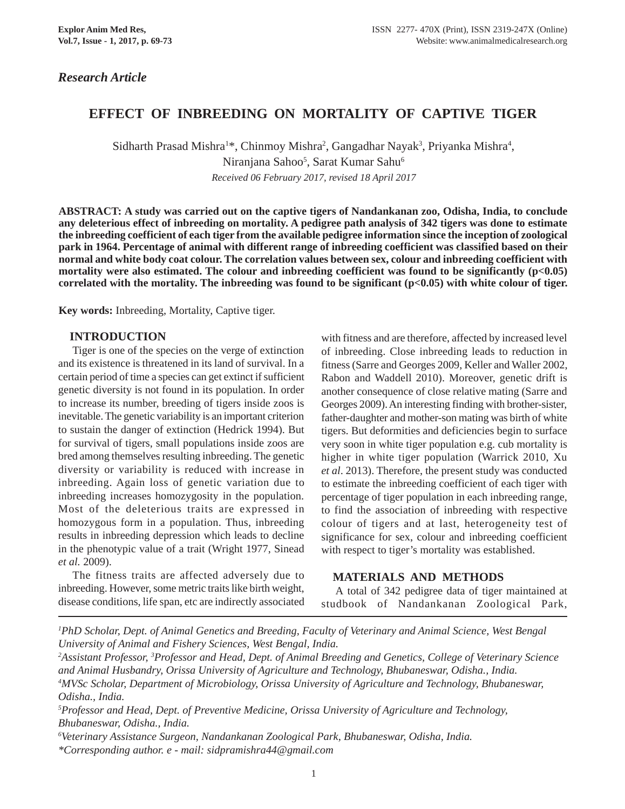## *Research Article*

# **EFFECT OF INBREEDING ON MORTALITY OF CAPTIVE TIGER**

Sidharth Prasad Mishra<sup>1\*</sup>, Chinmoy Mishra<sup>2</sup>, Gangadhar Nayak<sup>3</sup>, Priyanka Mishra<sup>4</sup>, Niranjana Sahoo<sup>5</sup>, Sarat Kumar Sahu<sup>6</sup> *Received 06 February 2017, revised 18 April 2017*

**ABSTRACT: A study was carried out on the captive tigers of Nandankanan zoo, Odisha, India, to conclude any deleterious effect of inbreeding on mortality. A pedigree path analysis of 342 tigers was done to estimate the inbreeding coefficient of each tiger from the available pedigree information since the inception of zoological park in 1964. Percentage of animal with different range of inbreeding coefficient was classified based on their normal and white body coat colour. The correlation values between sex, colour and inbreeding coefficient with** mortality were also estimated. The colour and inbreeding coefficient was found to be significantly (p<0.05) **correlated with the mortality. The inbreeding was found to be significant (p<0.05) with white colour of tiger.**

**Key words:** Inbreeding, Mortality, Captive tiger.

## **INTRODUCTION**

Tiger is one of the species on the verge of extinction and its existence is threatened in its land of survival. In a certain period of time a species can get extinct if sufficient genetic diversity is not found in its population. In order to increase its number, breeding of tigers inside zoos is inevitable. The genetic variability is an important criterion to sustain the danger of extinction (Hedrick 1994). But for survival of tigers, small populations inside zoos are bred among themselves resulting inbreeding. The genetic diversity or variability is reduced with increase in inbreeding. Again loss of genetic variation due to inbreeding increases homozygosity in the population. Most of the deleterious traits are expressed in homozygous form in a population. Thus, inbreeding results in inbreeding depression which leads to decline in the phenotypic value of a trait (Wright 1977, Sinead *et al.* 2009).

The fitness traits are affected adversely due to inbreeding. However, some metric traits like birth weight, disease conditions, life span, etc are indirectly associated with fitness and are therefore, affected by increased level of inbreeding. Close inbreeding leads to reduction in fitness (Sarre and Georges 2009, Keller and Waller 2002, Rabon and Waddell 2010). Moreover, genetic drift is another consequence of close relative mating (Sarre and Georges 2009). An interesting finding with brother-sister, father-daughter and mother-son mating was birth of white tigers. But deformities and deficiencies begin to surface very soon in white tiger population e.g. cub mortality is higher in white tiger population (Warrick 2010, Xu *et al*. 2013). Therefore, the present study was conducted to estimate the inbreeding coefficient of each tiger with percentage of tiger population in each inbreeding range, to find the association of inbreeding with respective colour of tigers and at last, heterogeneity test of significance for sex, colour and inbreeding coefficient with respect to tiger's mortality was established.

#### **MATERIALS AND METHODS**

A total of 342 pedigree data of tiger maintained at studbook of Nandankanan Zoological Park,

*1 PhD Scholar, Dept. of Animal Genetics and Breeding, Faculty of Veterinary and Animal Science, West Bengal University of Animal and Fishery Sciences, West Bengal, India.*

<sup>2</sup> Assistant Professor, <sup>3</sup> Professor and Head, Dept. of Animal Breeding and Genetics, College of Veterinary Science *and Animal Husbandry, Orissa University of Agriculture and Technology, Bhubaneswar, Odisha., India. 4 MVSc Scholar, Department of Microbiology, Orissa University of Agriculture and Technology, Bhubaneswar, Odisha., India.*

*5 Professor and Head, Dept. of Preventive Medicine, Orissa University of Agriculture and Technology, Bhubaneswar, Odisha., India.*

*6 Veterinary Assistance Surgeon, Nandankanan Zoological Park, Bhubaneswar, Odisha, India. \*Corresponding author. e - mail: sidpramishra44@gmail.com*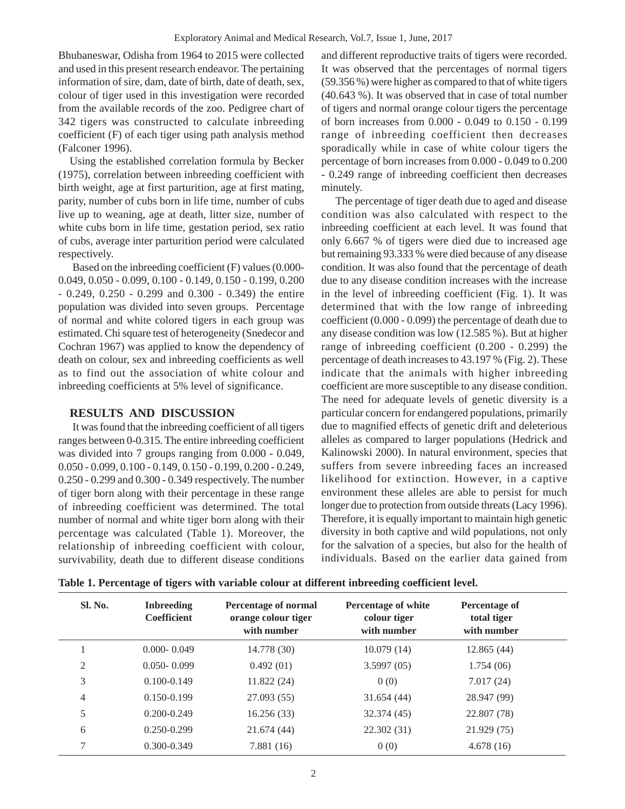Bhubaneswar, Odisha from 1964 to 2015 were collected and used in this present research endeavor. The pertaining information of sire, dam, date of birth, date of death, sex, colour of tiger used in this investigation were recorded from the available records of the zoo. Pedigree chart of 342 tigers was constructed to calculate inbreeding coefficient (F) of each tiger using path analysis method (Falconer 1996).

Using the established correlation formula by Becker (1975), correlation between inbreeding coefficient with birth weight, age at first parturition, age at first mating, parity, number of cubs born in life time, number of cubs live up to weaning, age at death, litter size, number of white cubs born in life time, gestation period, sex ratio of cubs, average inter parturition period were calculated respectively.

Based on the inbreeding coefficient (F) values (0.000- 0.049, 0.050 - 0.099, 0.100 - 0.149, 0.150 - 0.199, 0.200 - 0.249, 0.250 - 0.299 and 0.300 - 0.349) the entire population was divided into seven groups. Percentage of normal and white colored tigers in each group was estimated. Chi square test of heterogeneity (Snedecor and Cochran 1967) was applied to know the dependency of death on colour, sex and inbreeding coefficients as well as to find out the association of white colour and inbreeding coefficients at 5% level of significance.

## **RESULTS AND DISCUSSION**

It was found that the inbreeding coefficient of all tigers ranges between 0-0.315. The entire inbreeding coefficient was divided into 7 groups ranging from 0.000 - 0.049, 0.050 - 0.099, 0.100 - 0.149, 0.150 - 0.199, 0.200 - 0.249, 0.250 - 0.299 and 0.300 - 0.349 respectively. The number of tiger born along with their percentage in these range of inbreeding coefficient was determined. The total number of normal and white tiger born along with their percentage was calculated (Table 1). Moreover, the relationship of inbreeding coefficient with colour, survivability, death due to different disease conditions

and different reproductive traits of tigers were recorded. It was observed that the percentages of normal tigers (59.356 %) were higher as compared to that of white tigers (40.643 %). It was observed that in case of total number of tigers and normal orange colour tigers the percentage of born increases from 0.000 - 0.049 to 0.150 - 0.199 range of inbreeding coefficient then decreases sporadically while in case of white colour tigers the percentage of born increases from 0.000 - 0.049 to 0.200 - 0.249 range of inbreeding coefficient then decreases minutely.

The percentage of tiger death due to aged and disease condition was also calculated with respect to the inbreeding coefficient at each level. It was found that only 6.667 % of tigers were died due to increased age but remaining 93.333 % were died because of any disease condition. It was also found that the percentage of death due to any disease condition increases with the increase in the level of inbreeding coefficient (Fig. 1). It was determined that with the low range of inbreeding coefficient (0.000 - 0.099) the percentage of death due to any disease condition was low (12.585 %). But at higher range of inbreeding coefficient (0.200 - 0.299) the percentage of death increases to 43.197 % (Fig. 2). These indicate that the animals with higher inbreeding coefficient are more susceptible to any disease condition. The need for adequate levels of genetic diversity is a particular concern for endangered populations, primarily due to magnified effects of genetic drift and deleterious alleles as compared to larger populations (Hedrick and Kalinowski 2000). In natural environment, species that suffers from severe inbreeding faces an increased likelihood for extinction. However, in a captive environment these alleles are able to persist for much longer due to protection from outside threats (Lacy 1996). Therefore, it is equally important to maintain high genetic diversity in both captive and wild populations, not only for the salvation of a species, but also for the health of individuals. Based on the earlier data gained from

| Table 1. Percentage of tigers with variable colour at different inbreeding coefficient level. |  |  |  |  |
|-----------------------------------------------------------------------------------------------|--|--|--|--|
|                                                                                               |  |  |  |  |

| Sl. No. | <b>Inbreeding</b><br><b>Coefficient</b> | <b>Percentage of normal</b><br>orange colour tiger<br>with number | Percentage of white<br>colour tiger<br>with number | Percentage of<br>total tiger<br>with number |  |
|---------|-----------------------------------------|-------------------------------------------------------------------|----------------------------------------------------|---------------------------------------------|--|
|         | $0.000 - 0.049$                         | 14.778 (30)                                                       | 10.079(14)                                         | 12.865(44)                                  |  |
| 2       | $0.050 - 0.099$                         | 0.492(01)                                                         | 3.5997(05)                                         | 1.754(06)                                   |  |
| 3       | $0.100 - 0.149$                         | 11.822 (24)                                                       | 0(0)                                               | 7.017(24)                                   |  |
| 4       | 0.150-0.199                             | 27.093 (55)                                                       | 31.654(44)                                         | 28.947 (99)                                 |  |
| 5       | $0.200 - 0.249$                         | 16.256(33)                                                        | 32.374 (45)                                        | 22.807 (78)                                 |  |
| 6       | $0.250 - 0.299$                         | 21.674(44)                                                        | 22.302 (31)                                        | 21.929 (75)                                 |  |
| 7       | $0.300 - 0.349$                         | 7.881(16)                                                         | 0(0)                                               | 4.678(16)                                   |  |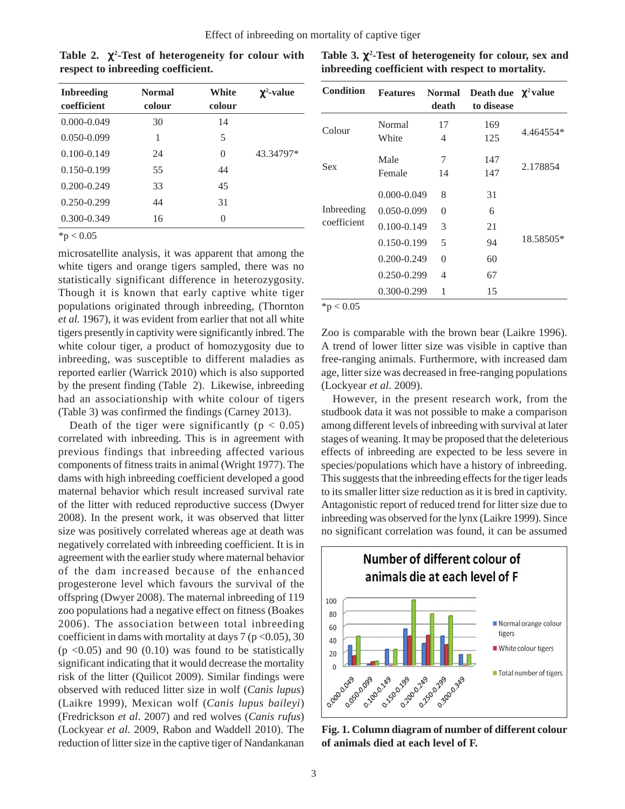| <b>Inbreeding</b><br>coefficient | <b>Normal</b><br>colour | White<br>colour | $\gamma^2$ -value |
|----------------------------------|-------------------------|-----------------|-------------------|
| $0.000 - 0.049$                  | 30                      | 14              |                   |
| $0.050 - 0.099$                  | 1                       | 5               |                   |
| $0.100 - 0.149$                  | 24                      | 0               | 43.34797*         |
| $0.150 - 0.199$                  | 55                      | 44              |                   |
| $0.200 - 0.249$                  | 33                      | 45              |                   |
| 0.250-0.299                      | 44                      | 31              |                   |
| $0.300 - 0.349$                  | 16                      | 0               |                   |

**Table 2.** χ**<sup>2</sup> -Test of heterogeneity for colour with respect to inbreeding coefficient.**

 $*p < 0.05$ 

microsatellite analysis, it was apparent that among the white tigers and orange tigers sampled, there was no statistically significant difference in heterozygosity. Though it is known that early captive white tiger populations originated through inbreeding, (Thornton *et al.* 1967), it was evident from earlier that not all white tigers presently in captivity were significantly inbred. The white colour tiger, a product of homozygosity due to inbreeding, was susceptible to different maladies as reported earlier (Warrick 2010) which is also supported by the present finding (Table 2). Likewise, inbreeding had an associationship with white colour of tigers (Table 3) was confirmed the findings (Carney 2013).

Death of the tiger were significantly ( $p < 0.05$ ) correlated with inbreeding. This is in agreement with previous findings that inbreeding affected various components of fitness traits in animal (Wright 1977). The dams with high inbreeding coefficient developed a good maternal behavior which result increased survival rate of the litter with reduced reproductive success (Dwyer 2008). In the present work, it was observed that litter size was positively correlated whereas age at death was negatively correlated with inbreeding coefficient. It is in agreement with the earlier study where maternal behavior of the dam increased because of the enhanced progesterone level which favours the survival of the offspring (Dwyer 2008). The maternal inbreeding of 119 zoo populations had a negative effect on fitness (Boakes 2006). The association between total inbreeding coefficient in dams with mortality at days  $7 (p < 0.05)$ , 30  $(p \le 0.05)$  and 90  $(0.10)$  was found to be statistically significant indicating that it would decrease the mortality risk of the litter (Quilicot 2009). Similar findings were observed with reduced litter size in wolf (*Canis lupus*) (Laikre 1999), Mexican wolf (*Canis lupus baileyi*) (Fredrickson *et al*. 2007) and red wolves (*Canis rufus*) (Lockyear *et al*. 2009, Rabon and Waddell 2010). The reduction of litter size in the captive tiger of Nandankanan

| <b>Condition</b> | <b>Features</b> | <b>Normal</b><br>death | Death due $\chi^2$ value<br>to disease |           |  |
|------------------|-----------------|------------------------|----------------------------------------|-----------|--|
| Colour           | Normal          | 17                     | 169                                    | 4.464554* |  |
|                  | White           | 4                      | 125                                    |           |  |
| Sex              | Male            | 7                      | 147                                    |           |  |
|                  | Female          | 14                     | 147                                    | 2.178854  |  |
|                  | $0.000 - 0.049$ | 8                      | 31                                     |           |  |
| Inbreeding       | $0.050 - 0.099$ | 0                      | 6                                      |           |  |
| coefficient      | $0.100 - 0.149$ | 3                      | 21                                     |           |  |
|                  | $0.150 - 0.199$ | 5                      | 94                                     | 18.58505* |  |
|                  | 0.200-0.249     | 0                      | 60                                     |           |  |
|                  | 0.250-0.299     | 4                      | 67                                     |           |  |
|                  | 0.300-0.299     | 1                      | 15                                     |           |  |

**Table 3.** χ**<sup>2</sup> -Test of heterogeneity for colour, sex and inbreeding coefficient with respect to mortality.**

 $*p < 0.05$ 

Zoo is comparable with the brown bear (Laikre 1996). A trend of lower litter size was visible in captive than free-ranging animals. Furthermore, with increased dam age, litter size was decreased in free-ranging populations (Lockyear *et al*. 2009).

However, in the present research work, from the studbook data it was not possible to make a comparison among different levels of inbreeding with survival at later stages of weaning. It may be proposed that the deleterious effects of inbreeding are expected to be less severe in species/populations which have a history of inbreeding. This suggests that the inbreeding effects for the tiger leads to its smaller litter size reduction as it is bred in captivity. Antagonistic report of reduced trend for litter size due to inbreeding was observed for the lynx (Laikre 1999). Since no significant correlation was found, it can be assumed



**Fig. 1. Column diagram of number of different colour of animals died at each level of F.**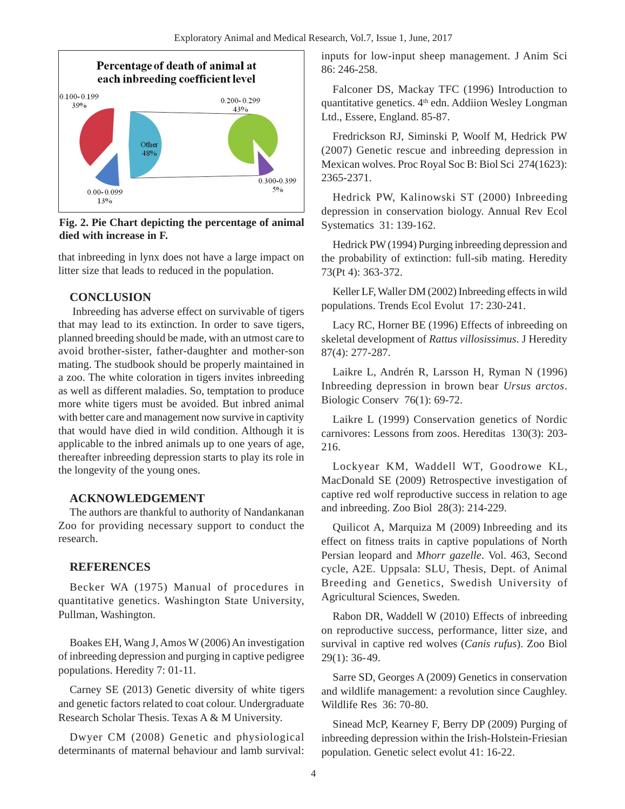

**Fig. 2. Pie Chart depicting the percentage of animal died with increase in F.**

that inbreeding in lynx does not have a large impact on litter size that leads to reduced in the population.

#### **CONCLUSION**

Inbreeding has adverse effect on survivable of tigers that may lead to its extinction. In order to save tigers, planned breeding should be made, with an utmost care to avoid brother-sister, father-daughter and mother-son mating. The studbook should be properly maintained in a zoo. The white coloration in tigers invites inbreeding as well as different maladies. So, temptation to produce more white tigers must be avoided. But inbred animal with better care and management now survive in captivity that would have died in wild condition. Although it is applicable to the inbred animals up to one years of age, thereafter inbreeding depression starts to play its role in the longevity of the young ones.

#### **ACKNOWLEDGEMENT**

The authors are thankful to authority of Nandankanan Zoo for providing necessary support to conduct the research.

## **REFERENCES**

Becker WA (1975) Manual of procedures in quantitative genetics. Washington State University, Pullman, Washington.

Boakes EH, Wang J, Amos W (2006) An investigation of inbreeding depression and purging in captive pedigree populations. Heredity 7: 01-11.

Carney SE (2013) Genetic diversity of white tigers and genetic factors related to coat colour. Undergraduate Research Scholar Thesis. Texas A & M University.

Dwyer CM (2008) Genetic and physiological determinants of maternal behaviour and lamb survival: inputs for low-input sheep management. J Anim Sci 86: 246-258.

Falconer DS, Mackay TFC (1996) Introduction to quantitative genetics. 4<sup>th</sup> edn. Addiion Wesley Longman Ltd., Essere, England. 85-87.

Fredrickson RJ, Siminski P, Woolf M, Hedrick PW (2007) Genetic rescue and inbreeding depression in Mexican wolves. Proc Royal Soc B: Biol Sci 274(1623): 2365-2371.

Hedrick PW, Kalinowski ST (2000) Inbreeding depression in conservation biology. Annual Rev Ecol Systematics 31: 139-162.

Hedrick PW (1994) Purging inbreeding depression and the probability of extinction: full-sib mating. Heredity 73(Pt 4): 363-372.

Keller LF, Waller DM (2002) Inbreeding effects in wild populations. Trends Ecol Evolut 17: 230-241.

Lacy RC, Horner BE (1996) Effects of inbreeding on skeletal development of *Rattus villosissimus*. J Heredity 87(4): 277-287.

Laikre L, Andrén R, Larsson H, Ryman N (1996) Inbreeding depression in brown bear *Ursus arctos*. Biologic Conserv 76(1): 69-72.

Laikre L (1999) Conservation genetics of Nordic carnivores: Lessons from zoos. Hereditas 130(3): 203- 216.

Lockyear KM, Waddell WT, Goodrowe KL, MacDonald SE (2009) Retrospective investigation of captive red wolf reproductive success in relation to age and inbreeding. Zoo Biol 28(3): 214-229.

Quilicot A, Marquiza M (2009) Inbreeding and its effect on fitness traits in captive populations of North Persian leopard and *Mhorr gazelle*. Vol. 463, Second cycle, A2E. Uppsala: SLU, Thesis, Dept. of Animal Breeding and Genetics, Swedish University of Agricultural Sciences, Sweden.

Rabon DR, Waddell W (2010) Effects of inbreeding on reproductive success, performance, litter size, and survival in captive red wolves (*Canis rufus*). Zoo Biol 29(1): 36-49.

Sarre SD, Georges A (2009) Genetics in conservation and wildlife management: a revolution since Caughley. Wildlife Res 36: 70-80.

Sinead McP, Kearney F, Berry DP (2009) Purging of inbreeding depression within the Irish-Holstein-Friesian population. Genetic select evolut 41: 16-22.